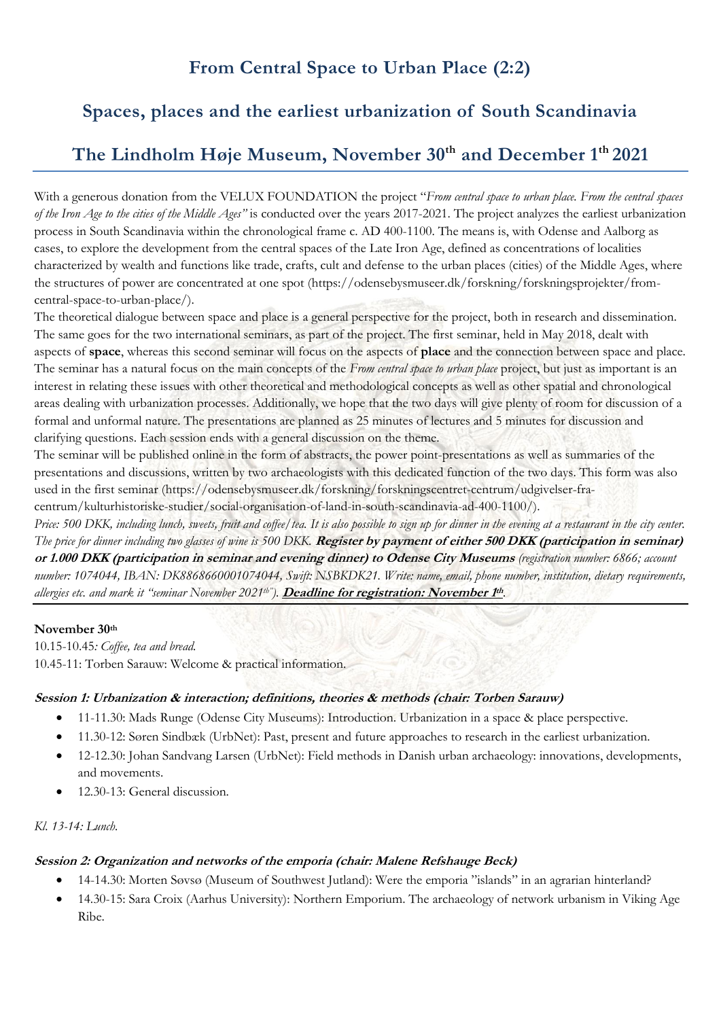# **From Central Space to Urban Place (2:2)**

## **Spaces, places and the earliest urbanization of South Scandinavia**

## **The Lindholm Høje Museum, November 30th and December 1th 2021**

With a generous donation from the VELUX FOUNDATION the project "*From central space to urban place. From the central spaces of the Iron Age to the cities of the Middle Ages"* is conducted over the years 2017-2021. The project analyzes the earliest urbanization process in South Scandinavia within the chronological frame c. AD 400-1100. The means is, with Odense and Aalborg as cases, to explore the development from the central spaces of the Late Iron Age, defined as concentrations of localities characterized by wealth and functions like trade, crafts, cult and defense to the urban places (cities) of the Middle Ages, where the structures of power are concentrated at one spot (https://odensebysmuseer.dk/forskning/forskningsprojekter/fromcentral-space-to-urban-place/).

The theoretical dialogue between space and place is a general perspective for the project, both in research and dissemination. The same goes for the two international seminars, as part of the project. The first seminar, held in May 2018, dealt with aspects of **space**, whereas this second seminar will focus on the aspects of **place** and the connection between space and place. The seminar has a natural focus on the main concepts of the *From central space to urban place* project, but just as important is an interest in relating these issues with other theoretical and methodological concepts as well as other spatial and chronological areas dealing with urbanization processes. Additionally, we hope that the two days will give plenty of room for discussion of a formal and unformal nature. The presentations are planned as 25 minutes of lectures and 5 minutes for discussion and clarifying questions. Each session ends with a general discussion on the theme.

The seminar will be published online in the form of abstracts, the power point-presentations as well as summaries of the presentations and discussions, written by two archaeologists with this dedicated function of the two days. This form was also used in the first seminar (https://odensebysmuseer.dk/forskning/forskningscentret-centrum/udgivelser-fracentrum/kulturhistoriske-studier/social-organisation-of-land-in-south-scandinavia-ad-400-1100/).

*Price: 500 DKK, including lunch, sweets, fruit and coffee/tea. It is also possible to sign up for dinner in the evening at a restaurant in the city center. The price for dinner including two glasses of wine is 500 DKK.* **Register by payment of either 500 DKK (participation in seminar) or 1.000 DKK (participation in seminar and evening dinner) to Odense City Museums** *(registration number: 6866; account number: 1074044, IBAN: DK8868660001074044, Swift: NSBKDK21. Write: name, email, phone number, institution, dietary requirements, allergies etc. and mark it "seminar November 2021th").* **Deadline for registration: November <sup>1</sup> th***.*

#### **November 30th**

10.15-10.45*: Coffee, tea and bread.* 10.45-11: Torben Sarauw: Welcome & practical information.

#### **Session 1: Urbanization & interaction; definitions, theories & methods (chair: Torben Sarauw)**

- 11-11.30: Mads Runge (Odense City Museums): Introduction. Urbanization in a space & place perspective.
- 11.30-12: Søren Sindbæk (UrbNet): Past, present and future approaches to research in the earliest urbanization.
- 12-12.30: Johan Sandvang Larsen (UrbNet): Field methods in Danish urban archaeology: innovations, developments, and movements.
- 12.30-13: General discussion.

#### *Kl. 13-14: Lunch.*

#### **Session 2: Organization and networks of the emporia (chair: Malene Refshauge Beck)**

- 14-14.30: Morten Søvsø (Museum of Southwest Jutland): Were the emporia "islands" in an agrarian hinterland?
- 14.30-15: Sara Croix (Aarhus University): Northern Emporium. The archaeology of network urbanism in Viking Age Ribe.